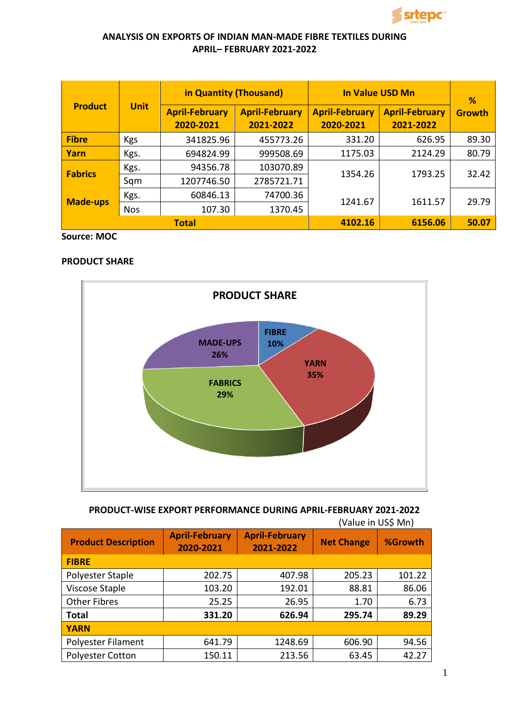

## **ANALYSIS ON EXPORTS OF INDIAN MAN-MADE FIBRE TEXTILES DURING APRIL– FEBRUARY 2021-2022**

| <b>Product</b>  |             | in Quantity (Thousand)             |                                    | <b>In Value USD Mn</b>             | %                                  |               |
|-----------------|-------------|------------------------------------|------------------------------------|------------------------------------|------------------------------------|---------------|
|                 | <b>Unit</b> | <b>April-February</b><br>2020-2021 | <b>April-February</b><br>2021-2022 | <b>April-February</b><br>2020-2021 | <b>April-February</b><br>2021-2022 | <b>Growth</b> |
| <b>Fibre</b>    | <b>Kgs</b>  | 341825.96                          | 455773.26                          | 331.20                             | 626.95                             | 89.30         |
| Yarn            | Kgs.        | 694824.99                          | 999508.69                          | 1175.03                            | 2124.29                            | 80.79         |
| <b>Fabrics</b>  | Kgs.        | 94356.78                           | 103070.89                          | 1354.26                            | 1793.25                            | 32.42         |
|                 | Sqm         | 1207746.50                         | 2785721.71                         |                                    |                                    |               |
| <b>Made-ups</b> | Kgs.        | 60846.13                           | 74700.36                           |                                    |                                    | 29.79         |
|                 | <b>Nos</b>  | 107.30                             | 1370.45                            | 1241.67                            | 1611.57                            |               |
| <b>Total</b>    |             |                                    |                                    | 4102.16                            | 6156.06                            | 50.07         |

**Source: MOC**

## **PRODUCT SHARE**



# **PRODUCT-WISE EXPORT PERFORMANCE DURING APRIL-FEBRUARY 2021-2022**

| <b>Product Description</b> | <b>April-February</b><br>2020-2021 | <b>April-February</b><br>2021-2022 | <b>Net Change</b> | %Growth |  |
|----------------------------|------------------------------------|------------------------------------|-------------------|---------|--|
| <b>FIBRE</b>               |                                    |                                    |                   |         |  |
| Polyester Staple           | 202.75                             | 407.98                             | 205.23            | 101.22  |  |
| Viscose Staple             | 103.20                             | 192.01                             | 88.81             | 86.06   |  |
| <b>Other Fibres</b>        | 25.25                              | 26.95                              | 1.70              | 6.73    |  |
| <b>Total</b>               | 331.20                             | 626.94                             | 295.74            | 89.29   |  |
| <b>YARN</b>                |                                    |                                    |                   |         |  |
| Polyester Filament         | 641.79                             | 1248.69                            | 606.90            | 94.56   |  |
| <b>Polyester Cotton</b>    | 150.11                             | 213.56                             | 63.45             | 42.27   |  |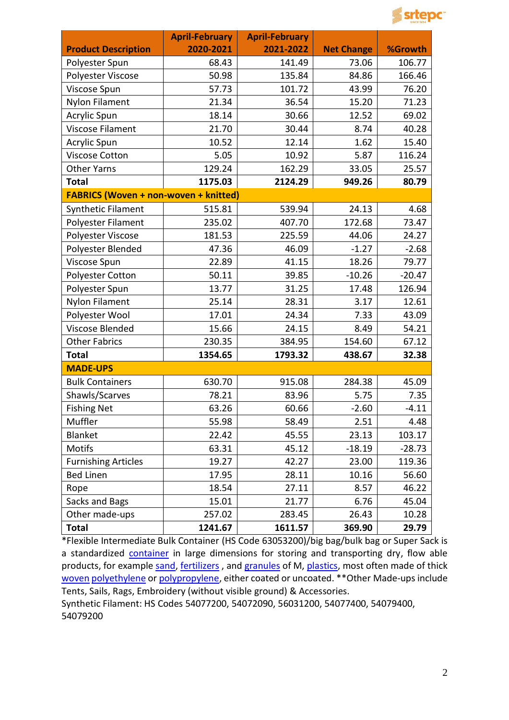

|                                              | <b>April-February</b> | <b>April-February</b> |                   |          |
|----------------------------------------------|-----------------------|-----------------------|-------------------|----------|
| <b>Product Description</b>                   | 2020-2021             | 2021-2022             | <b>Net Change</b> | %Growth  |
| Polyester Spun                               | 68.43                 | 141.49                | 73.06             | 106.77   |
| Polyester Viscose                            | 50.98                 | 135.84                | 84.86             | 166.46   |
| Viscose Spun                                 | 57.73                 | 101.72                | 43.99             | 76.20    |
| Nylon Filament                               | 21.34                 | 36.54                 | 15.20             | 71.23    |
| Acrylic Spun                                 | 18.14                 | 30.66                 | 12.52             | 69.02    |
| Viscose Filament                             | 21.70                 | 30.44                 | 8.74              | 40.28    |
| <b>Acrylic Spun</b>                          | 10.52                 | 12.14                 | 1.62              | 15.40    |
| <b>Viscose Cotton</b>                        | 5.05                  | 10.92                 | 5.87              | 116.24   |
| Other Yarns                                  | 129.24                | 162.29                | 33.05             | 25.57    |
| <b>Total</b>                                 | 1175.03               | 2124.29               | 949.26            | 80.79    |
| <b>FABRICS (Woven + non-woven + knitted)</b> |                       |                       |                   |          |
| Synthetic Filament                           | 515.81                | 539.94                | 24.13             | 4.68     |
| Polyester Filament                           | 235.02                | 407.70                | 172.68            | 73.47    |
| Polyester Viscose                            | 181.53                | 225.59                | 44.06             | 24.27    |
| Polyester Blended                            | 47.36                 | 46.09                 | $-1.27$           | $-2.68$  |
| Viscose Spun                                 | 22.89                 | 41.15                 | 18.26             | 79.77    |
| Polyester Cotton                             | 50.11                 | 39.85                 | $-10.26$          | $-20.47$ |
| Polyester Spun                               | 13.77                 | 31.25                 | 17.48             | 126.94   |
| Nylon Filament                               | 25.14                 | 28.31                 | 3.17              | 12.61    |
| Polyester Wool                               | 17.01                 | 24.34                 | 7.33              | 43.09    |
| Viscose Blended                              | 15.66                 | 24.15                 | 8.49              | 54.21    |
| <b>Other Fabrics</b>                         | 230.35                | 384.95                | 154.60            | 67.12    |
| <b>Total</b>                                 | 1354.65               | 1793.32               | 438.67            | 32.38    |
| <b>MADE-UPS</b>                              |                       |                       |                   |          |
| <b>Bulk Containers</b>                       | 630.70                | 915.08                | 284.38            | 45.09    |
| Shawls/Scarves                               | 78.21                 | 83.96                 | 5.75              | 7.35     |
| <b>Fishing Net</b>                           | 63.26                 | 60.66                 | $-2.60$           | $-4.11$  |
| Muffler                                      | 55.98                 | 58.49                 | 2.51              | 4.48     |
| Blanket                                      | 22.42                 | 45.55                 | 23.13             | 103.17   |
| <b>Motifs</b>                                | 63.31                 | 45.12                 | $-18.19$          | $-28.73$ |
| <b>Furnishing Articles</b>                   | 19.27                 | 42.27                 | 23.00             | 119.36   |
| <b>Bed Linen</b>                             | 17.95                 | 28.11                 | 10.16             | 56.60    |
| Rope                                         | 18.54                 | 27.11                 | 8.57              | 46.22    |
| Sacks and Bags                               | 15.01                 | 21.77                 | 6.76              | 45.04    |
| Other made-ups                               | 257.02                | 283.45                | 26.43             | 10.28    |
| <b>Total</b>                                 | 1241.67               | 1611.57               | 369.90            | 29.79    |

\*Flexible Intermediate Bulk Container (HS Code 63053200)/big bag/bulk bag or Super Sack is a standardized [container](http://en.wikipedia.org/wiki/Shipping_container) in large dimensions for storing and transporting dry, flow able products, for example [sand,](http://en.wikipedia.org/wiki/Sand) [fertilizers](http://en.wikipedia.org/wiki/Fertilizer), and [granules](http://en.wikipedia.org/wiki/Granules) of M[, plastics,](http://en.wikipedia.org/wiki/Plastics) most often made of thick [woven](http://en.wikipedia.org/wiki/Woven) [polyethylene](http://en.wikipedia.org/wiki/Polyethylene) or [polypropylene,](http://en.wikipedia.org/wiki/Polypropylene) either coated or uncoated. \*\* Other Made-ups include Tents, Sails, Rags, Embroidery (without visible ground) & Accessories.

Synthetic Filament: HS Codes 54077200, 54072090, 56031200, 54077400, 54079400, 54079200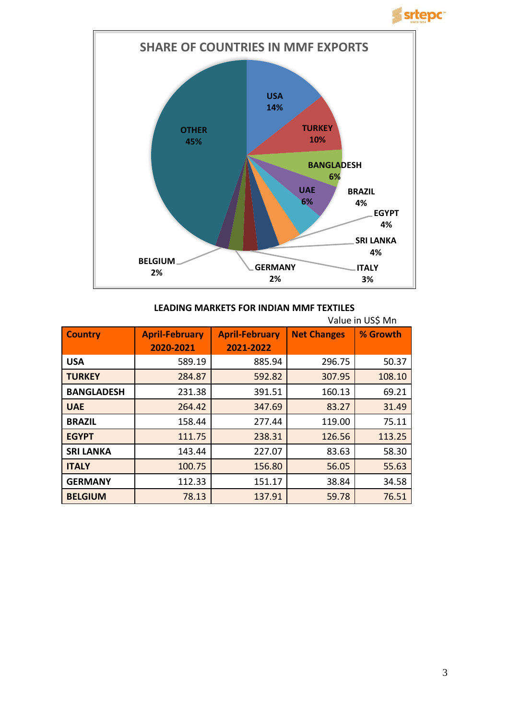**Srtepc** 



#### **LEADING MARKETS FOR INDIAN MMF TEXTILES**

|                   | Value in US\$ Mn      |                       |                    |          |
|-------------------|-----------------------|-----------------------|--------------------|----------|
| <b>Country</b>    | <b>April-February</b> | <b>April-February</b> | <b>Net Changes</b> | % Growth |
|                   | 2020-2021             | 2021-2022             |                    |          |
| <b>USA</b>        | 589.19                | 885.94                | 296.75             | 50.37    |
| <b>TURKEY</b>     | 284.87                | 592.82                | 307.95             | 108.10   |
| <b>BANGLADESH</b> | 231.38                | 391.51                | 160.13             | 69.21    |
| <b>UAE</b>        | 264.42                | 347.69                | 83.27              | 31.49    |
| <b>BRAZIL</b>     | 158.44                | 277.44                | 119.00             | 75.11    |
| <b>EGYPT</b>      | 111.75                | 238.31                | 126.56             | 113.25   |
| <b>SRI LANKA</b>  | 143.44                | 227.07                | 83.63              | 58.30    |
| <b>ITALY</b>      | 100.75                | 156.80                | 56.05              | 55.63    |
| <b>GERMANY</b>    | 112.33                | 151.17                | 38.84              | 34.58    |
| <b>BELGIUM</b>    | 78.13                 | 137.91                | 59.78              | 76.51    |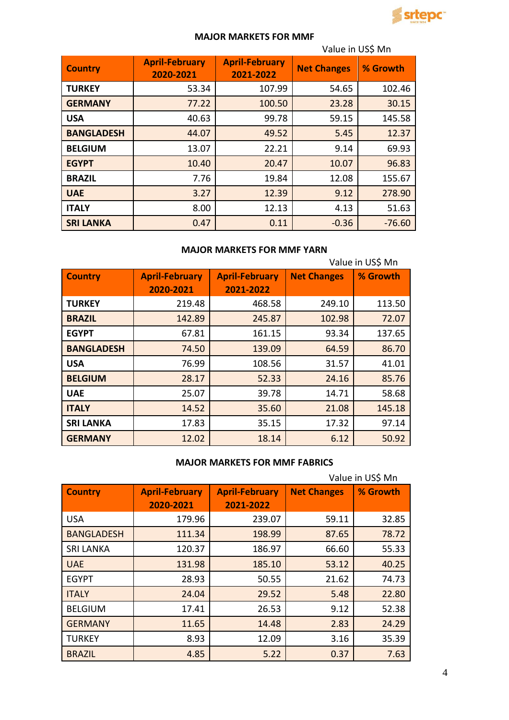

## **MAJOR MARKETS FOR MMF**

|                   | Value in US\$ Mn                   |                                    |                    |          |
|-------------------|------------------------------------|------------------------------------|--------------------|----------|
| <b>Country</b>    | <b>April-February</b><br>2020-2021 | <b>April-February</b><br>2021-2022 | <b>Net Changes</b> | % Growth |
| <b>TURKEY</b>     | 53.34                              | 107.99                             | 54.65              | 102.46   |
| <b>GERMANY</b>    | 77.22                              | 100.50                             | 23.28              | 30.15    |
| <b>USA</b>        | 40.63                              | 99.78                              | 59.15              | 145.58   |
| <b>BANGLADESH</b> | 44.07                              | 49.52                              | 5.45               | 12.37    |
| <b>BELGIUM</b>    | 13.07                              | 22.21                              | 9.14               | 69.93    |
| <b>EGYPT</b>      | 10.40                              | 20.47                              | 10.07              | 96.83    |
| <b>BRAZIL</b>     | 7.76                               | 19.84                              | 12.08              | 155.67   |
| <b>UAE</b>        | 3.27                               | 12.39                              | 9.12               | 278.90   |
| <b>ITALY</b>      | 8.00                               | 12.13                              | 4.13               | 51.63    |
| <b>SRI LANKA</b>  | 0.47                               | 0.11                               | $-0.36$            | $-76.60$ |

# **MAJOR MARKETS FOR MMF YARN**

|                   | Value in US\$ Mn      |                       |                    |          |
|-------------------|-----------------------|-----------------------|--------------------|----------|
| <b>Country</b>    | <b>April-February</b> | <b>April-February</b> | <b>Net Changes</b> | % Growth |
|                   | 2020-2021             | 2021-2022             |                    |          |
| <b>TURKEY</b>     | 219.48                | 468.58                | 249.10             | 113.50   |
| <b>BRAZIL</b>     | 142.89                | 245.87                | 102.98             | 72.07    |
| <b>EGYPT</b>      | 67.81                 | 161.15                | 93.34              | 137.65   |
| <b>BANGLADESH</b> | 74.50                 | 139.09                | 64.59              | 86.70    |
| <b>USA</b>        | 76.99                 | 108.56                | 31.57              | 41.01    |
| <b>BELGIUM</b>    | 28.17                 | 52.33                 | 24.16              | 85.76    |
| <b>UAE</b>        | 25.07                 | 39.78                 | 14.71              | 58.68    |
| <b>ITALY</b>      | 14.52                 | 35.60                 | 21.08              | 145.18   |
| <b>SRI LANKA</b>  | 17.83                 | 35.15                 | 17.32              | 97.14    |
| <b>GERMANY</b>    | 12.02                 | 18.14                 | 6.12               | 50.92    |

### **MAJOR MARKETS FOR MMF FABRICS**

|                   | Value in US\$ Mn      |                       |                    |          |
|-------------------|-----------------------|-----------------------|--------------------|----------|
| <b>Country</b>    | <b>April-February</b> | <b>April-February</b> | <b>Net Changes</b> | % Growth |
|                   | 2020-2021             | 2021-2022             |                    |          |
| <b>USA</b>        | 179.96                | 239.07                | 59.11              | 32.85    |
| <b>BANGLADESH</b> | 111.34                | 198.99                | 87.65              | 78.72    |
| <b>SRI LANKA</b>  | 120.37                | 186.97                | 66.60              | 55.33    |
| <b>UAE</b>        | 131.98                | 185.10                | 53.12              | 40.25    |
| <b>EGYPT</b>      | 28.93                 | 50.55                 | 21.62              | 74.73    |
| <b>ITALY</b>      | 24.04                 | 29.52                 | 5.48               | 22.80    |
| <b>BELGIUM</b>    | 17.41                 | 26.53                 | 9.12               | 52.38    |
| <b>GERMANY</b>    | 11.65                 | 14.48                 | 2.83               | 24.29    |
| <b>TURKEY</b>     | 8.93                  | 12.09                 | 3.16               | 35.39    |
| <b>BRAZIL</b>     | 4.85                  | 5.22                  | 0.37               | 7.63     |